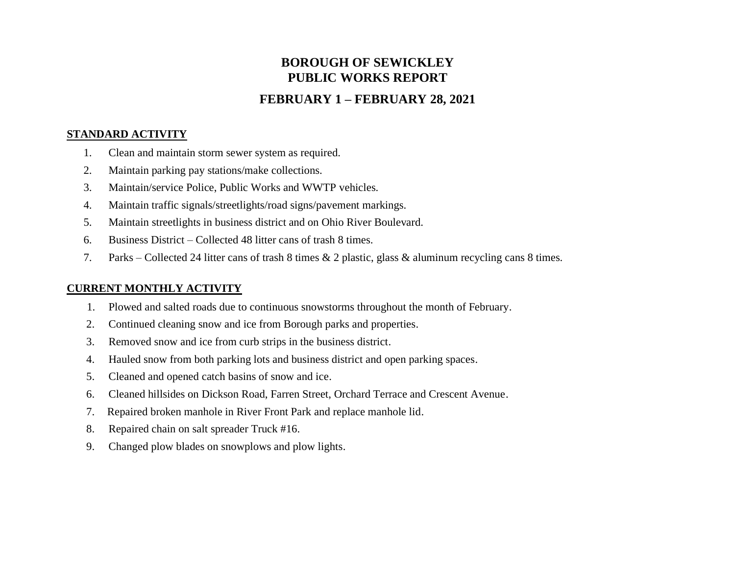# **BOROUGH OF SEWICKLEY PUBLIC WORKS REPORT**

## **FEBRUARY 1 – FEBRUARY 28, 2021**

#### **STANDARD ACTIVITY**

- 1. Clean and maintain storm sewer system as required.
- 2. Maintain parking pay stations/make collections.
- 3. Maintain/service Police, Public Works and WWTP vehicles.
- 4. Maintain traffic signals/streetlights/road signs/pavement markings.
- 5. Maintain streetlights in business district and on Ohio River Boulevard.
- 6. Business District Collected 48 litter cans of trash 8 times.
- 7. Parks Collected 24 litter cans of trash 8 times & 2 plastic, glass & aluminum recycling cans 8 times.

#### **CURRENT MONTHLY ACTIVITY**

- 1. Plowed and salted roads due to continuous snowstorms throughout the month of February.
- 2. Continued cleaning snow and ice from Borough parks and properties.
- 3. Removed snow and ice from curb strips in the business district.
- 4. Hauled snow from both parking lots and business district and open parking spaces.
- 5. Cleaned and opened catch basins of snow and ice.
- 6. Cleaned hillsides on Dickson Road, Farren Street, Orchard Terrace and Crescent Avenue.
- 7. Repaired broken manhole in River Front Park and replace manhole lid.
- 8. Repaired chain on salt spreader Truck #16.
- 9. Changed plow blades on snowplows and plow lights.